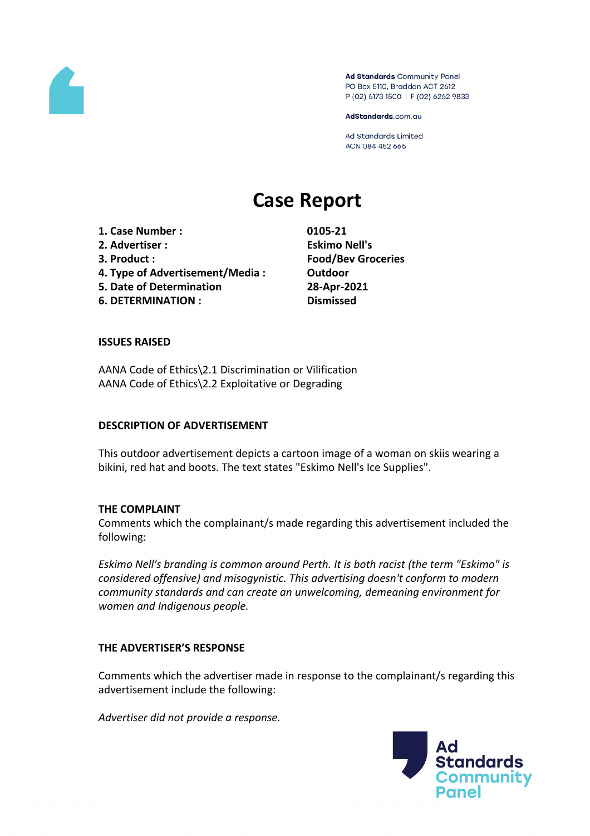

Ad Standards Community Panel PO Box 5110, Braddon ACT 2612 P (02) 6173 1500 | F (02) 6262 9833

AdStandards.com.au

**Ad Standards Limited** ACN 084 452 666

# **Case Report**

**1. Case Number : 0105-21 2. Advertiser : Eskimo Nell's 3. Product : Food/Bev Groceries 4. Type of Advertisement/Media : Outdoor 5. Date of Determination 28-Apr-2021 6. DETERMINATION : Dismissed**

#### **ISSUES RAISED**

AANA Code of Ethics\2.1 Discrimination or Vilification AANA Code of Ethics\2.2 Exploitative or Degrading

#### **DESCRIPTION OF ADVERTISEMENT**

This outdoor advertisement depicts a cartoon image of a woman on skiis wearing a bikini, red hat and boots. The text states "Eskimo Nell's Ice Supplies".

#### **THE COMPLAINT**

Comments which the complainant/s made regarding this advertisement included the following:

*Eskimo Nell's branding is common around Perth. It is both racist (the term "Eskimo" is considered offensive) and misogynistic. This advertising doesn't conform to modern community standards and can create an unwelcoming, demeaning environment for women and Indigenous people.*

# **THE ADVERTISER'S RESPONSE**

Comments which the advertiser made in response to the complainant/s regarding this advertisement include the following:

*Advertiser did not provide a response.*

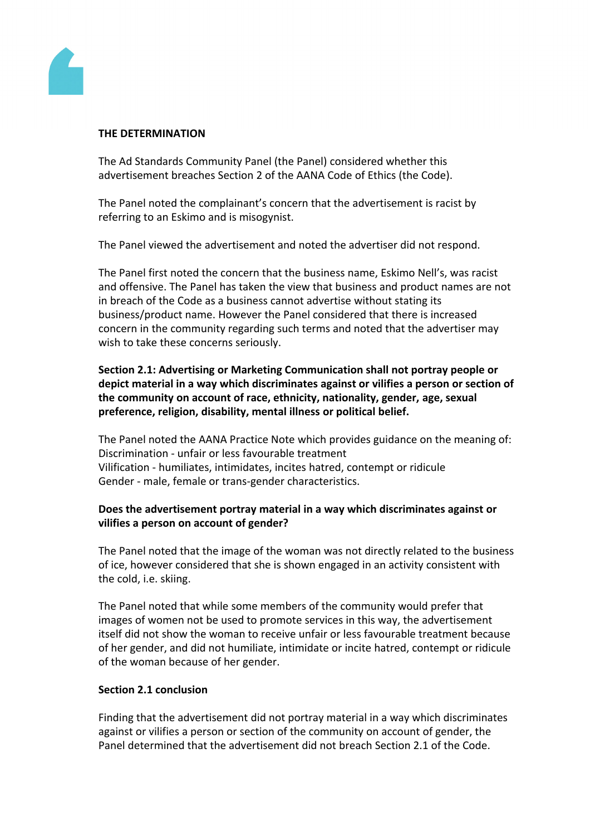

# **THE DETERMINATION**

The Ad Standards Community Panel (the Panel) considered whether this advertisement breaches Section 2 of the AANA Code of Ethics (the Code).

The Panel noted the complainant's concern that the advertisement is racist by referring to an Eskimo and is misogynist.

The Panel viewed the advertisement and noted the advertiser did not respond.

The Panel first noted the concern that the business name, Eskimo Nell's, was racist and offensive. The Panel has taken the view that business and product names are not in breach of the Code as a business cannot advertise without stating its business/product name. However the Panel considered that there is increased concern in the community regarding such terms and noted that the advertiser may wish to take these concerns seriously.

**Section 2.1: Advertising or Marketing Communication shall not portray people or depict material in a way which discriminates against or vilifies a person or section of the community on account of race, ethnicity, nationality, gender, age, sexual preference, religion, disability, mental illness or political belief.**

The Panel noted the AANA Practice Note which provides guidance on the meaning of: Discrimination - unfair or less favourable treatment Vilification - humiliates, intimidates, incites hatred, contempt or ridicule Gender - male, female or trans-gender characteristics.

# **Does the advertisement portray material in a way which discriminates against or vilifies a person on account of gender?**

The Panel noted that the image of the woman was not directly related to the business of ice, however considered that she is shown engaged in an activity consistent with the cold, i.e. skiing.

The Panel noted that while some members of the community would prefer that images of women not be used to promote services in this way, the advertisement itself did not show the woman to receive unfair or less favourable treatment because of her gender, and did not humiliate, intimidate or incite hatred, contempt or ridicule of the woman because of her gender.

# **Section 2.1 conclusion**

Finding that the advertisement did not portray material in a way which discriminates against or vilifies a person or section of the community on account of gender, the Panel determined that the advertisement did not breach Section 2.1 of the Code.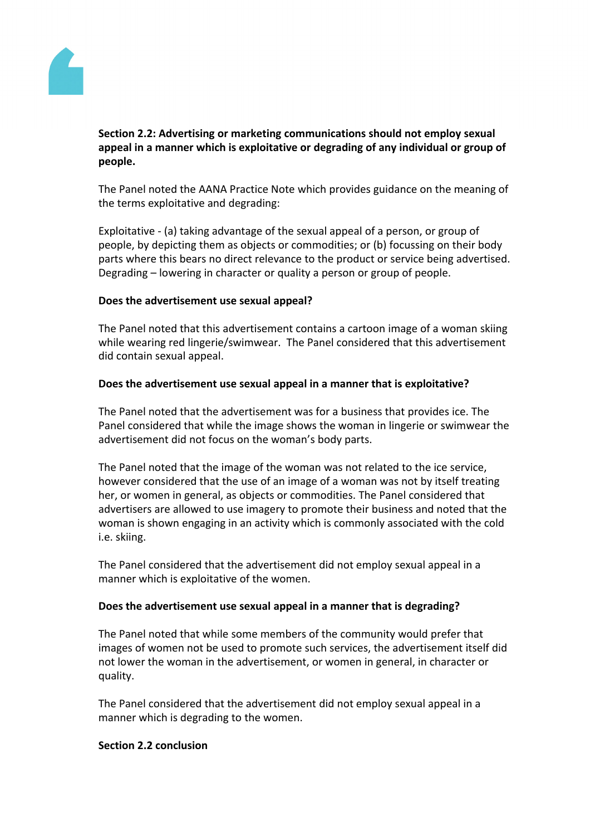

# **Section 2.2: Advertising or marketing communications should not employ sexual appeal in a manner which is exploitative or degrading of any individual or group of people.**

The Panel noted the AANA Practice Note which provides guidance on the meaning of the terms exploitative and degrading:

Exploitative - (a) taking advantage of the sexual appeal of a person, or group of people, by depicting them as objects or commodities; or (b) focussing on their body parts where this bears no direct relevance to the product or service being advertised. Degrading – lowering in character or quality a person or group of people.

# **Does the advertisement use sexual appeal?**

The Panel noted that this advertisement contains a cartoon image of a woman skiing while wearing red lingerie/swimwear. The Panel considered that this advertisement did contain sexual appeal.

# **Does the advertisement use sexual appeal in a manner that is exploitative?**

The Panel noted that the advertisement was for a business that provides ice. The Panel considered that while the image shows the woman in lingerie or swimwear the advertisement did not focus on the woman's body parts.

The Panel noted that the image of the woman was not related to the ice service, however considered that the use of an image of a woman was not by itself treating her, or women in general, as objects or commodities. The Panel considered that advertisers are allowed to use imagery to promote their business and noted that the woman is shown engaging in an activity which is commonly associated with the cold i.e. skiing.

The Panel considered that the advertisement did not employ sexual appeal in a manner which is exploitative of the women.

# **Does the advertisement use sexual appeal in a manner that is degrading?**

The Panel noted that while some members of the community would prefer that images of women not be used to promote such services, the advertisement itself did not lower the woman in the advertisement, or women in general, in character or quality.

The Panel considered that the advertisement did not employ sexual appeal in a manner which is degrading to the women.

#### **Section 2.2 conclusion**